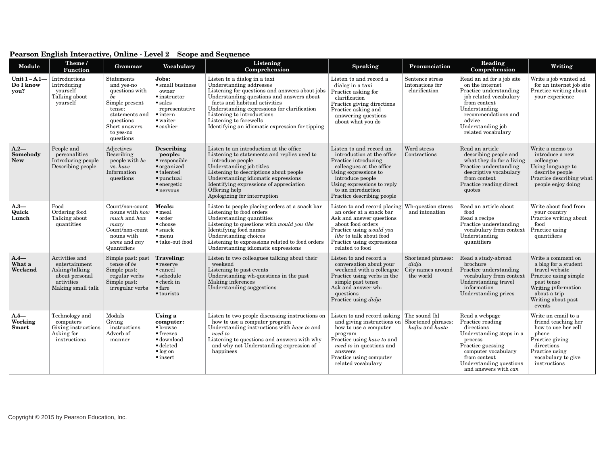| Module                                | Theme /<br><b>Function</b>                                                                             | Grammar                                                                                                                                                | <b>Vocabulary</b>                                                                                                                                     | Listening<br>Comprehension                                                                                                                                                                                                                                                                                                                        | <b>Speaking</b>                                                                                                                                                                                                                                      | Pronunciation                                                 | Reading<br>Comprehension                                                                                                                                                                                      | Writing                                                                                                                                                                    |
|---------------------------------------|--------------------------------------------------------------------------------------------------------|--------------------------------------------------------------------------------------------------------------------------------------------------------|-------------------------------------------------------------------------------------------------------------------------------------------------------|---------------------------------------------------------------------------------------------------------------------------------------------------------------------------------------------------------------------------------------------------------------------------------------------------------------------------------------------------|------------------------------------------------------------------------------------------------------------------------------------------------------------------------------------------------------------------------------------------------------|---------------------------------------------------------------|---------------------------------------------------------------------------------------------------------------------------------------------------------------------------------------------------------------|----------------------------------------------------------------------------------------------------------------------------------------------------------------------------|
| Unit $1 - A.1$ —<br>Do I know<br>you? | Introductions<br>Introducing<br>yourself<br>Talking about<br>yourself                                  | Statements<br>and yes-no<br>questions with<br>be<br>Simple present<br>tense:<br>statements and<br>questions<br>Short answers<br>to yes-no<br>questions | Jobs:<br>· small business<br>owner<br>$\bullet$ instructor<br>$\bullet$ sales<br>representative<br>$\bullet$ intern<br>• waiter<br>$\bullet$ cashier  | Listen to a dialog in a taxi<br>Understanding addresses<br>Listening for questions and answers about jobs<br>Understanding questions and answers about<br>facts and habitual activities<br>Understanding expressions for clarification<br>Listening to introductions<br>Listening to farewells<br>Identifying an idiomatic expression for tipping | Listen to and record a<br>dialog in a taxi<br>Practice asking for<br>clarification<br>Practice giving directions<br>Practice asking and<br>answering questions<br>about what you do                                                                  | Sentence stress<br>Intonations for<br>clarification           | Read an ad for a job site<br>on the internet<br>Practice understanding<br>job related vocabulary<br>from context<br>Understanding<br>recommendations and<br>advice<br>Understanding job<br>related vocabulary | Write a job wanted ad<br>for an internet job site<br>Practice writing about<br>your experience                                                                             |
| $A.2-$<br>Somebody<br><b>New</b>      | People and<br>personalities<br>Introducing people<br>Describing people                                 | Adjectives<br>Describing<br>people with be<br>vs. have<br>Information<br>questions                                                                     | Describing<br>people:<br>$\bullet$ responsible<br>$\bullet$ organized<br>• talented<br>$\bullet$ punctual<br>$\bullet$ energetic<br>$\bullet$ nervous | Listen to an introduction at the office<br>Listening to statements and replies used to<br>introduce people<br>Understanding job titles<br>Listening to descriptions about people<br>Understanding idiomatic expressions<br>Identifying expressions of appreciation<br>Offering help<br>Apologizing for interruption                               | Listen to and record an<br>introduction at the office<br>Practice introducing<br>colleagues at the office<br>Using expressions to<br>introduce people<br>Using expressions to reply<br>to an introduction<br>Practice describing people              | Word stress<br>Contractions                                   | Read an article<br>describing people and<br>what they do for a living<br>Practice understanding<br>descriptive vocabulary<br>from context<br>Practice reading direct<br>quotes                                | Write a memo to<br>introduce a new<br>colleague<br>Using language to<br>describe people<br>Practice describing what<br>people enjoy doing                                  |
| $A.3-$<br>Quick<br>Lunch              | Food<br>Ordering food<br>Talking about<br>quantities                                                   | Count/non-count<br>nouns with <i>how</i><br>much and how<br>many<br>Count/non-count<br>nouns with<br>some and any<br>Quantifiers                       | <b>Meals:</b><br>$\bullet$ meal<br>$\bullet$ order<br>• choose<br>$\bullet$ snack<br>$•$ menu<br>• take-out food                                      | Listen to people placing orders at a snack bar<br>Listening to food orders<br>Understanding quantities<br>Listening to questions with <i>would you like</i><br>Identifying food names<br>Understanding choices<br>Listening to expressions related to food orders<br>Understanding idiomatic expressions                                          | Listen to and record placing<br>an order at a snack bar<br>Ask and answer questions<br>about food orders<br>Practice using would you<br>like to talk about food<br>Practice using expressions<br>related to food                                     | Wh-question stress<br>and intonation                          | Read an article about<br>food<br>Read a recipe<br>Practice understanding<br>vocabulary from context<br>Understanding<br>quantifiers                                                                           | Write about food from<br>your country<br>Practice writing about<br>food<br>Practice using<br>quantifiers                                                                   |
| $A.4-$<br>What a<br>Weekend           | Activities and<br>entertainment<br>Asking/talking<br>about personal<br>activities<br>Making small talk | Simple past: past<br>tense of be<br>Simple past:<br>regular verbs<br>Simple past:<br>irregular verbs                                                   | <b>Traveling:</b><br>$\bullet$ reserve<br>$\bullet$ cancel<br>$\bullet$ schedule<br>$\bullet$ check in<br>$•$ fare<br>• tourists                      | Listen to two colleagues talking about their<br>weekend<br>Listening to past events<br>Understanding wh-questions in the past<br>Making inferences<br>Understanding suggestions                                                                                                                                                                   | Listen to and record a<br>conversation about your<br>weekend with a colleague<br>Practice using verbs in the<br>simple past tense<br>Ask and answer wh-<br>questions<br>Practice using didja                                                         | Shortened phrases:<br>didja<br>City names around<br>the world | Read a study-abroad<br>brochure<br>Practice understanding<br>vocabulary from context<br>Understanding travel<br>information<br>Understanding prices                                                           | Write a comment on<br>a blog for a student<br>travel website<br>Practice using simple<br>past tense<br>Writing information<br>about a trip<br>Writing about past<br>events |
| $A.5-$<br>Working<br>Smart            | Technology and<br>computers<br>Giving instructions<br>Asking for<br>instructions                       | Modals<br>Giving<br>instructions<br>Adverb of<br>manner                                                                                                | Using a<br>computer:<br>$\bullet$ browse<br>$\bullet$ freezes<br>$\bullet$ download<br>$\bullet$ deleted<br>$\bullet$ log on<br>$\bullet$ insert      | Listen to two people discussing instructions on<br>how to use a computer program<br>Understanding instructions with have to and<br>need to<br>Listening to questions and answers with why<br>and why not Understanding expression of<br>happiness                                                                                                 | Listen to and record asking The sound [h]<br>and giving instructions on Shortened phrases:<br>how to use a computer<br>program<br>Practice using have to and<br>need to in questions and<br>answers<br>Practice using computer<br>related vocabulary | hafta and hasta                                               | Read a webpage<br>Practice reading<br>directions<br>Understanding steps in a<br>process<br>Practice guessing<br>computer vocabulary<br>from context<br>Understanding questions<br>and answers with can        | Write an email to a<br>friend teaching her<br>how to use her cell<br>phone<br>Practice giving<br>directions<br>Practice using<br>vocabulary to give<br>instructions        |

## **Pearson English Interactive, Online - Level 2 Scope and Sequence**

Copyright © 2015 by Pearson Education, Inc.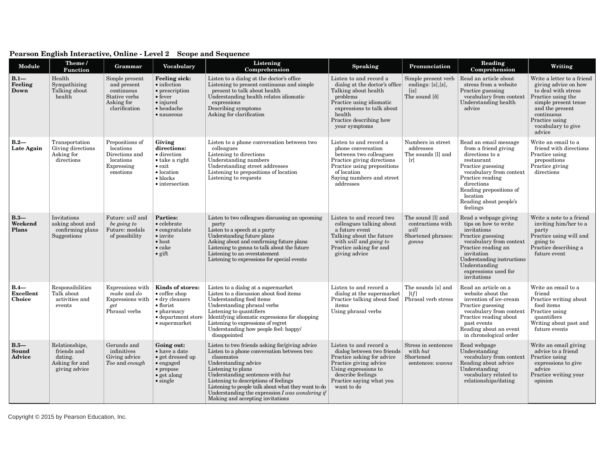| <b>Module</b>                        | Theme /<br>Function                                                         | Grammar                                                                                     | Vocabulary                                                                                                                                                    | Listening<br>Comprehension                                                                                                                                                                                                                                                                                                                                                            | <b>Speaking</b>                                                                                                                                                                                            | Pronunciation                                                                 | Reading<br>Comprehension                                                                                                                                                                                                                      | Writing                                                                                                                                                                                                    |
|--------------------------------------|-----------------------------------------------------------------------------|---------------------------------------------------------------------------------------------|---------------------------------------------------------------------------------------------------------------------------------------------------------------|---------------------------------------------------------------------------------------------------------------------------------------------------------------------------------------------------------------------------------------------------------------------------------------------------------------------------------------------------------------------------------------|------------------------------------------------------------------------------------------------------------------------------------------------------------------------------------------------------------|-------------------------------------------------------------------------------|-----------------------------------------------------------------------------------------------------------------------------------------------------------------------------------------------------------------------------------------------|------------------------------------------------------------------------------------------------------------------------------------------------------------------------------------------------------------|
| $B.1-$<br>Feeling<br>Down            | Health<br>Sympathizing<br>Talking about<br>health                           | Simple present<br>and present<br>continuous<br>Stative verbs<br>Asking for<br>clarification | <b>Feeling sick:</b><br>$\bullet$ infection<br>• prescription<br>$\bullet$ fever<br>$\bullet$ injured<br>$\bullet$ headache<br>· nauseous                     | Listen to a dialog at the doctor's office.<br>Listening to present continuous and simple<br>present to talk about health<br>Understanding health relates idiomatic<br>expressions<br>Describing symptoms<br>Asking for clarification                                                                                                                                                  | Listen to and record a<br>dialog at the doctor's office<br>Talking about health<br>problems<br>Practice using idiomatic<br>expressions to talk about<br>health<br>Practice describing how<br>your symptoms | Simple present verb<br>endings: $[s], [z],$<br>[iz]<br>The sound [ð]          | Read an article about<br>stress from a website<br>Practice guessing<br>vocabulary from context<br>Understanding health<br>advice                                                                                                              | Write a letter to a friend<br>giving advice on how<br>to deal with stress<br>Practice using the<br>simple present tense<br>and the present<br>continuous<br>Practice using<br>vocabulary to give<br>advice |
| $B.2-$<br>Late Again                 | Transportation<br>Giving directions<br>Asking for<br>directions             | Prepositions of<br>locations<br>Directions and<br>locations<br>Expressing<br>emotions       | Giving<br>directions:<br>· direction<br>$\bullet$ take a right<br>$\bullet$ exit<br>$\bullet$ location<br>$\bullet$ blocks<br>$\bullet$ intersection          | Listen to a phone conversation between two<br>colleagues<br>Listening to directions<br>Understanding numbers<br>Understanding street addresses<br>Listening to prepositions of location<br>Listening to requests                                                                                                                                                                      | Listen to and record a<br>phone conversation<br>between two colleagues<br>Practice giving directions<br>Practice using prepositions<br>of location<br>Saying numbers and street<br>addresses               | Numbers in street<br>addresses<br>The sounds [1] and<br>$\lceil r \rceil$     | Read an email message<br>from a friend giving<br>directions to a<br>restaurant<br>Practice guessing<br>vocabulary from context<br>Practice reading<br>directions<br>Reading prepositions of<br>location<br>Reading about people's<br>feelings | Write an email to a<br>friend with directions<br>Practice using<br>prepositions<br>Practice giving<br>directions                                                                                           |
| $B.3-$<br>Weekend<br>Plans           | Invitations<br>asking about and<br>confirming plans<br>Suggestions          | Future: will and<br>be going to<br>Future: modals<br>of possibility                         | <b>Parties:</b><br>$\bullet$ celebrate<br>$\bullet$ congratulate<br>$\bullet$ invite<br>$\bullet$ host<br>$\bullet$ cake<br>$\bullet$ gift                    | Listen to two colleagues discussing an upcoming<br>party<br>Listen to a speech at a party<br>Understanding future plans<br>Asking about and confirming future plans<br>Listening to gonna to talk about the future<br>Listening to an overstatement<br>Listening to expressions for special events                                                                                    | Listen to and record two<br>colleagues talking about<br>a future event<br>Talking about the future<br>with <i>will</i> and <i>going to</i><br>Practice asking for and<br>giving advice                     | The sound [1] and<br>contractions with<br>will<br>Shortened phrases:<br>gonna | Read a webpage giving<br>tips on how to write<br>invitations<br>Practice guessing<br>vocabulary from context<br>Practice reading an<br>invitation<br>Understanding instructions<br>Understanding<br>expressions used for<br>invitations       | Write a note to a friend<br>inviting him/her to a<br>party<br>Practice using will and<br>going to<br>Practice describing a<br>future event                                                                 |
| $B.4-$<br><b>Excellent</b><br>Choice | Responsibilities<br>Talk about<br>activities and<br>events                  | Expressions with<br>make and do<br>Expressions with<br>get<br>Phrasal verbs                 | Kinds of stores:<br>$\bullet$ coffee shop<br>$\bullet$ dry cleaners<br>$\bullet$ florist<br>$\bullet$ pharmacy<br>• department store<br>$\bullet$ supermarket | Listen to a dialog at a supermarket<br>Listen to a discussion about food items<br>Understanding food items<br>Understanding phrasal verbs<br>Listening to quantifiers<br>Identifying idiomatic expressions for shopping<br>Listening to expressions of regret<br>Understanding how people feel: happy/<br>disappointed                                                                | Listen to and record a<br>dialog at the supermarket<br>Practice talking about food<br>items<br>Using phrasal verbs                                                                                         | The sounds [s] and<br>[tf]<br>Phrasal verb stress                             | Read an article on a<br>website about the<br>invention of ice-cream<br>Practice guessing<br>vocabulary from context<br>Practice reading about<br>past events<br>Reading about an event<br>in chronological order                              | Write an email to a<br>$\operatorname{friend}$<br>Practice writing about<br>food items<br>Practice using<br>quantifiers<br>Writing about past and<br>future events                                         |
| $B.5-$<br>Sound<br>Advice            | Relationships,<br>friends and<br>dating.<br>Asking for and<br>giving advice | Gerunds and<br>infinitives<br>Giving advice<br>Too and enough                               | Going out:<br>$\bullet$ have a date<br>• get dressed up<br>$\bullet$ engaged<br>$\bullet$ propose<br>$\bullet$ get along<br>$\bullet$ single                  | Listen to two friends asking for/giving advice<br>Listen to a phone conversation between two<br>classmates<br>Understanding advice<br>Listening to plans<br>Understanding sentences with but<br>Listening to descriptions of feelings<br>Listening to people talk about what they want to do<br>Understanding the expression $I$ was wondering if<br>Making and accepting invitations | Listen to and record a<br>dialog between two friends<br>Practice asking for advice<br>Practice giving advice<br>Using expressions to<br>describe feelings<br>Practice saying what you<br>want to do        | Stress in sentences<br>with <i>but</i><br>Shortened<br>sentences: wanna       | Read webpage<br>Understanding<br>vocabulary from context<br>Reading about advice<br>Understanding<br>vocabulary related to<br>relationships/dating                                                                                            | Write an email giving<br>advice to a friend<br>Practice using<br>expressions to give<br>advice<br>Practice writing your<br>opinion                                                                         |

## **Pearson English Interactive, Online - Level 2 Scope and Sequence**

Copyright © 2015 by Pearson Education, Inc.